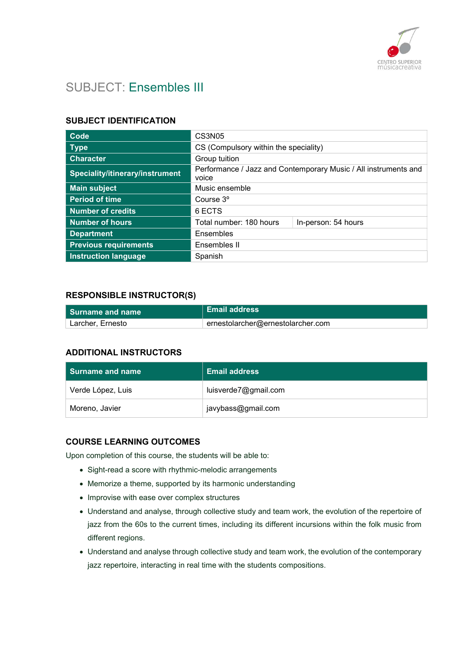

# SUBJECT: Ensembles III

### SUBJECT IDENTIFICATION

| Code                            | <b>CS3N05</b>                                                            |  |
|---------------------------------|--------------------------------------------------------------------------|--|
| <b>Type</b>                     | CS (Compulsory within the speciality)                                    |  |
| <b>Character</b>                | Group tuition                                                            |  |
| Speciality/itinerary/instrument | Performance / Jazz and Contemporary Music / All instruments and<br>voice |  |
| <b>Main subject</b>             | Music ensemble                                                           |  |
| <b>Period of time</b>           | Course 3 <sup>°</sup>                                                    |  |
| <b>Number of credits</b>        | 6 ECTS                                                                   |  |
| <b>Number of hours</b>          | Total number: 180 hours<br>In-person: 54 hours                           |  |
| <b>Department</b>               | Ensembles                                                                |  |
| <b>Previous requirements</b>    | Ensembles II                                                             |  |
| <b>Instruction language</b>     | Spanish                                                                  |  |

### RESPONSIBLE INSTRUCTOR(S)

| l Surname and name | ∣ Email address                   |
|--------------------|-----------------------------------|
| Larcher. Ernesto   | ernestolarcher@ernestolarcher.com |

# ADDITIONAL INSTRUCTORS

| <b>Surname and name</b> | <b>Email address</b> |
|-------------------------|----------------------|
| Verde López, Luis       | luisverde7@gmail.com |
| Moreno, Javier          | javybass@gmail.com   |

#### COURSE LEARNING OUTCOMES

Upon completion of this course, the students will be able to:

- Sight-read a score with rhythmic-melodic arrangements
- Memorize a theme, supported by its harmonic understanding
- Improvise with ease over complex structures
- Understand and analyse, through collective study and team work, the evolution of the repertoire of jazz from the 60s to the current times, including its different incursions within the folk music from different regions.
- Understand and analyse through collective study and team work, the evolution of the contemporary jazz repertoire, interacting in real time with the students compositions.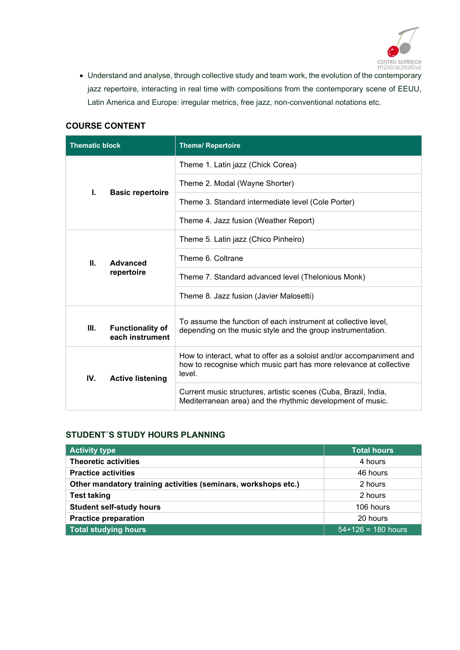

 Understand and analyse, through collective study and team work, the evolution of the contemporary jazz repertoire, interacting in real time with compositions from the contemporary scene of EEUU, Latin America and Europe: irregular metrics, free jazz, non-conventional notations etc.

# COURSE CONTENT

| <b>Thematic block</b>                            | <b>Theme/ Repertoire</b>                                                                                                                             |
|--------------------------------------------------|------------------------------------------------------------------------------------------------------------------------------------------------------|
|                                                  | Theme 1. Latin jazz (Chick Corea)                                                                                                                    |
| ı.<br><b>Basic repertoire</b>                    | Theme 2. Modal (Wayne Shorter)                                                                                                                       |
|                                                  | Theme 3. Standard intermediate level (Cole Porter)                                                                                                   |
|                                                  | Theme 4. Jazz fusion (Weather Report)                                                                                                                |
|                                                  | Theme 5. Latin jazz (Chico Pinheiro)                                                                                                                 |
| Ш.<br><b>Advanced</b><br>repertoire              | Theme 6. Coltrane                                                                                                                                    |
|                                                  | Theme 7. Standard advanced level (Thelonious Monk)                                                                                                   |
|                                                  | Theme 8. Jazz fusion (Javier Malosetti)                                                                                                              |
| Ш.<br><b>Functionality of</b><br>each instrument | To assume the function of each instrument at collective level,<br>depending on the music style and the group instrumentation.                        |
| IV.<br><b>Active listening</b>                   | How to interact, what to offer as a soloist and/or accompaniment and<br>how to recognise which music part has more relevance at collective<br>level. |
|                                                  | Current music structures, artistic scenes (Cuba, Brazil, India,<br>Mediterranean area) and the rhythmic development of music.                        |

#### STUDENT´S STUDY HOURS PLANNING

| <b>Activity type</b>                                           | <b>Total hours</b>   |
|----------------------------------------------------------------|----------------------|
| <b>Theoretic activities</b>                                    | 4 hours              |
| <b>Practice activities</b>                                     | 46 hours             |
| Other mandatory training activities (seminars, workshops etc.) | 2 hours              |
| <b>Test taking</b>                                             | 2 hours              |
| <b>Student self-study hours</b>                                | 106 hours            |
| <b>Practice preparation</b>                                    | 20 hours             |
| <b>Total studying hours</b>                                    | $54+126 = 180$ hours |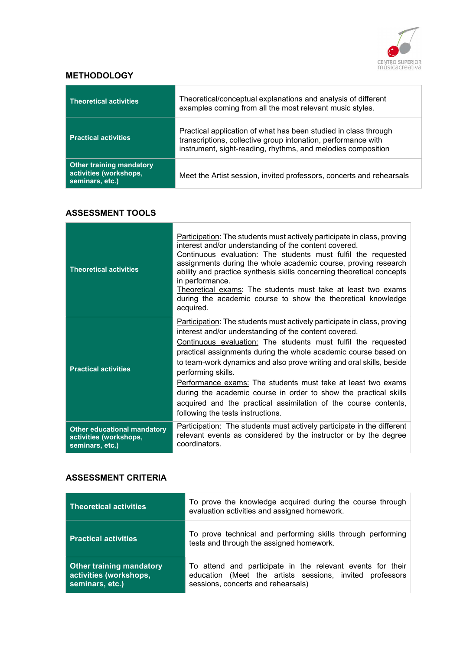

## **METHODOLOGY**

| <b>Theoretical activities</b>                                                | Theoretical/conceptual explanations and analysis of different<br>examples coming from all the most relevant music styles.                                                                        |
|------------------------------------------------------------------------------|--------------------------------------------------------------------------------------------------------------------------------------------------------------------------------------------------|
| <b>Practical activities</b>                                                  | Practical application of what has been studied in class through<br>transcriptions, collective group intonation, performance with<br>instrument, sight-reading, rhythms, and melodies composition |
| <b>Other training mandatory</b><br>activities (workshops,<br>seminars, etc.) | Meet the Artist session, invited professors, concerts and rehearsals                                                                                                                             |

#### ASSESSMENT TOOLS

| <b>Theoretical activities</b>                                                   | <b>Participation:</b> The students must actively participate in class, proving<br>interest and/or understanding of the content covered.<br>Continuous evaluation: The students must fulfil the requested<br>assignments during the whole academic course, proving research<br>ability and practice synthesis skills concerning theoretical concepts<br>in performance.<br>Theoretical exams: The students must take at least two exams<br>during the academic course to show the theoretical knowledge<br>acquired.                                                                                                   |
|---------------------------------------------------------------------------------|-----------------------------------------------------------------------------------------------------------------------------------------------------------------------------------------------------------------------------------------------------------------------------------------------------------------------------------------------------------------------------------------------------------------------------------------------------------------------------------------------------------------------------------------------------------------------------------------------------------------------|
| <b>Practical activities</b>                                                     | Participation: The students must actively participate in class, proving<br>interest and/or understanding of the content covered.<br><u>Continuous evaluation:</u> The students must fulfil the requested<br>practical assignments during the whole academic course based on<br>to team-work dynamics and also prove writing and oral skills, beside<br>performing skills.<br>Performance exams: The students must take at least two exams<br>during the academic course in order to show the practical skills<br>acquired and the practical assimilation of the course contents,<br>following the tests instructions. |
| <b>Other educational mandatory</b><br>activities (workshops,<br>seminars, etc.) | Participation: The students must actively participate in the different<br>relevant events as considered by the instructor or by the degree<br>coordinators.                                                                                                                                                                                                                                                                                                                                                                                                                                                           |

## ASSESSMENT CRITERIA

| <b>Theoretical activities</b>                                                | To prove the knowledge acquired during the course through<br>evaluation activities and assigned homework.                                                    |  |
|------------------------------------------------------------------------------|--------------------------------------------------------------------------------------------------------------------------------------------------------------|--|
| <b>Practical activities</b>                                                  | To prove technical and performing skills through performing<br>tests and through the assigned homework.                                                      |  |
| <b>Other training mandatory</b><br>activities (workshops,<br>seminars, etc.) | To attend and participate in the relevant events for their<br>education (Meet the artists sessions, invited professors<br>sessions, concerts and rehearsals) |  |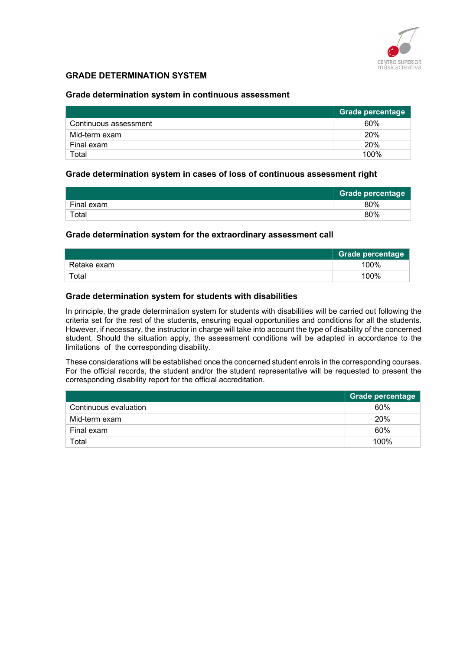

### GRADE DETERMINATION SYSTEM

#### Grade determination system in continuous assessment

|                       | <b>Grade percentage</b> |
|-----------------------|-------------------------|
| Continuous assessment | 60%                     |
| Mid-term exam         | 20%                     |
| Final exam            | <b>20%</b>              |
| Total                 | 100%                    |

#### Grade determination system in cases of loss of continuous assessment right

|             | Grade percentage |
|-------------|------------------|
| Final exam  | 80%              |
| $\tau$ otal | 80%              |

#### Grade determination system for the extraordinary assessment call

|             | Grade percentage |
|-------------|------------------|
| Retake exam | 100%             |
| Total       | 100%             |

#### Grade determination system for students with disabilities

In principle, the grade determination system for students with disabilities will be carried out following the criteria set for the rest of the students, ensuring equal opportunities and conditions for all the students. However, if necessary, the instructor in charge will take into account the type of disability of the concerned student. Should the situation apply, the assessment conditions will be adapted in accordance to the limitations of the corresponding disability.

These considerations will be established once the concerned student enrols in the corresponding courses. For the official records, the student and/or the student representative will be requested to present the corresponding disability report for the official accreditation.

|                       | <b>Grade percentage</b> |
|-----------------------|-------------------------|
| Continuous evaluation | 60%                     |
| Mid-term exam         | 20%                     |
| Final exam            | 60%                     |
| Total                 | 100%                    |